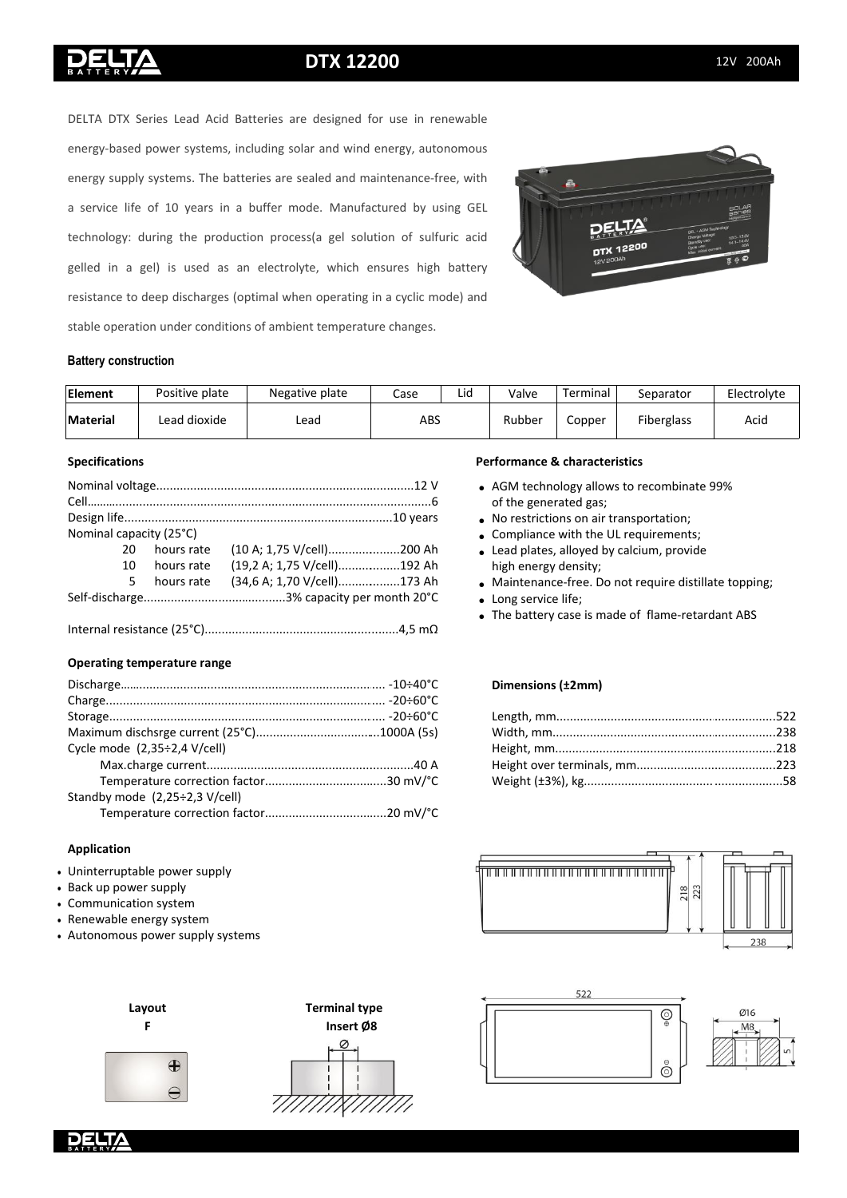# **DTX 12200** 12V 200Ah

DELTA DTX Series Lead Acid Batteries are designed for use in renewable energy-based power systems, including solar and wind energy, autonomous energy supply systems. The batteries are sealed and maintenance-free, with a service life of 10 years in a buffer mode. Manufactured by using GEL technology: during the production process(a gel solution of sulfuric acid gelled in a gel) is used as an electrolyte, which ensures high battery resistance to deep discharges (optimal when operating in a cyclic mode) and stable operation under conditions of ambient temperature changes.



### **Battery construction**

| Element  | Positive plate | Negative plate | Lid<br>Case |  | Valve  | Terminal | Separator         | Electrolyte |
|----------|----------------|----------------|-------------|--|--------|----------|-------------------|-------------|
| Material | Lead dioxide   | Lead           | ABS         |  | Rubber | Copper   | <b>Fiberglass</b> | Acio        |

#### **Specifications**

|                             |            | Nominal capacity (25°C) |
|-----------------------------|------------|-------------------------|
| (10 A; 1,75 V/cell)200 Ah   | hours rate | 20                      |
| (19,2 A; 1,75 V/cell)192 Ah | hours rate | 10.                     |
| (34,6 A; 1,70 V/cell)173 Ah | hours rate | 5                       |
|                             |            |                         |

...............................................4,5 mΩ • Internal resistance (25°С)...........................................................................

# **Operating temperature range**

|                                              | <b>Dimensi</b> |
|----------------------------------------------|----------------|
|                                              |                |
|                                              | Length,        |
|                                              | Width, r       |
| Cycle mode (2,35÷2,4 V/cell)                 | Height,        |
|                                              | Height o       |
|                                              | Weight (       |
| Standby mode $(2,25\div 2,3 \text{ V/cell})$ |                |
|                                              |                |
|                                              |                |

#### **Application**

- Uninterruptable power supply
- Back up power supply
- Communication system
- Renewable energy system
- Autonomous power supply systems

## **Performance & characteristics**

- AGM technology allows to recombinate 99% of the generated gas;
- No restrictions on air transportation;
- Compliance with the UL requirements;
	- Lead plates, alloyed by calcium, provide high energy density;
	- Maintenance-free. Do not require distillate topping;
- Long service life;
- The battery case is made of flame-retardant ABS

#### **Dimensions (±2mm)**

| on factor30 mV/°C |  |
|-------------------|--|



 $\overline{\mathbb{Q}}$ 

ငံ

016

 $M\delta$ 

522